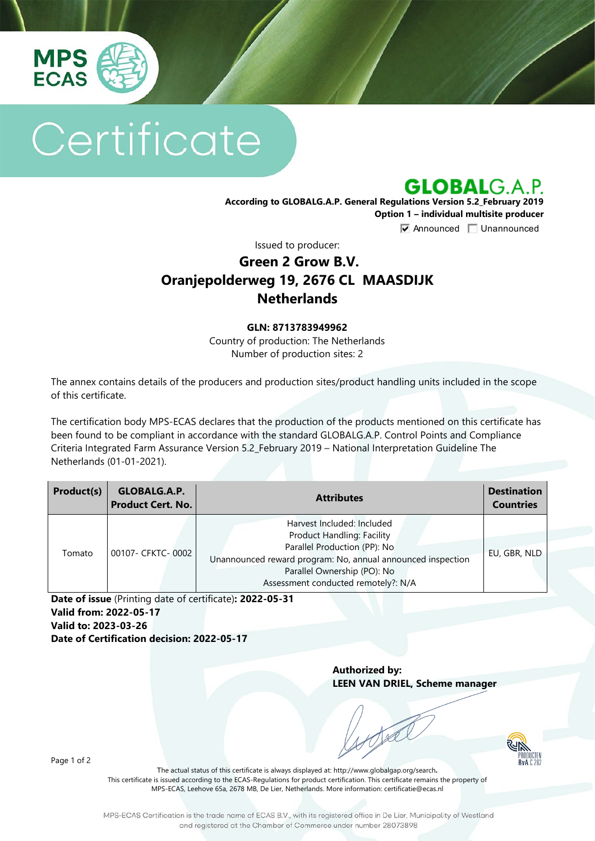

# Certificate

**GLOBALG.A.P.** 

**According to GLOBALG.A.P. General Regulations Version 5.2\_February 2019 Option 1 – individual multisite producer**

**V** Announced **Unannounced** 

Issued to producer:

## **Green 2 Grow B.V. Oranjepolderweg 19, 2676 CL MAASDIJK Netherlands**

#### **GLN: 8713783949962**

Country of production: The Netherlands Number of production sites: 2

The annex contains details of the producers and production sites/product handling units included in the scope of this certificate.

The certification body MPS-ECAS declares that the production of the products mentioned on this certificate has been found to be compliant in accordance with the standard GLOBALG.A.P. Control Points and Compliance Criteria Integrated Farm Assurance Version 5.2\_February 2019 – National Interpretation Guideline The Netherlands (01-01-2021).

| Product(s) | <b>GLOBALG.A.P.</b><br><b>Product Cert. No.</b> | <b>Attributes</b>                                                                                                                                                                                                                    | <b>Destination</b><br><b>Countries</b> |
|------------|-------------------------------------------------|--------------------------------------------------------------------------------------------------------------------------------------------------------------------------------------------------------------------------------------|----------------------------------------|
| Tomato     | 00107- CFKTC- 0002                              | Harvest Included: Included<br><b>Product Handling: Facility</b><br>Parallel Production (PP): No<br>Unannounced reward program: No, annual announced inspection<br>Parallel Ownership (PO): No<br>Assessment conducted remotely?: N/A | EU, GBR, NLD                           |

**Date of issue** (Printing date of certificate)**: 2022-05-31 Valid from: 2022-05-17 Valid to: 2023-03-26 Date of Certification decision: 2022-05-17**

> **Authorized by: LEEN VAN DRIEL, Scheme manager**



Page 1 of 2

The actual status of this certificate is always displayed at: <http://www.globalgap.org/search>**.**  This certificate is issued according to the ECAS-Regulations for product certification. This certificate remains the property of MPS-ECAS, Leehove 65a, 2678 MB, De Lier, Netherlands. More information[: certificatie@ecas.nl](mailto:certificatie@ecas.nl)